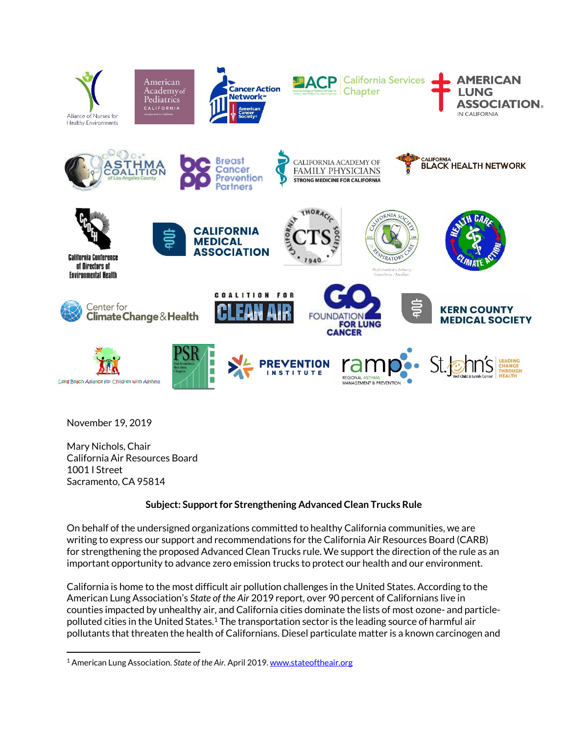

November 19, 2019

 $\overline{\phantom{a}}$ 

Mary Nichols, Chair California Air Resources Board 1001 I Street Sacramento, CA 95814

## **Subject: Support for Strengthening Advanced Clean Trucks Rule**

On behalf of the undersigned organizations committed to healthy California communities, we are writing to express our support and recommendations for the California Air Resources Board (CARB) for strengthening the proposed Advanced Clean Trucks rule. We support the direction of the rule as an important opportunity to advance zero emission trucks to protect our health and our environment.

California is home to the most difficult air pollution challenges in the United States. According to the American Lung Association's *State of the Air* 2019 report, over 90 percent of Californians live in counties impacted by unhealthy air, and California cities dominate the lists of most ozone- and particlepolluted cities in the United States.<sup>1</sup> The transportation sector is the leading source of harmful air pollutants that threaten the health of Californians. Diesel particulate matter is a known carcinogen and

<sup>&</sup>lt;sup>1</sup> American Lung Association. *State of the Air*. April 2019[. www.stateoftheair.org](http://www.stateoftheair.org/)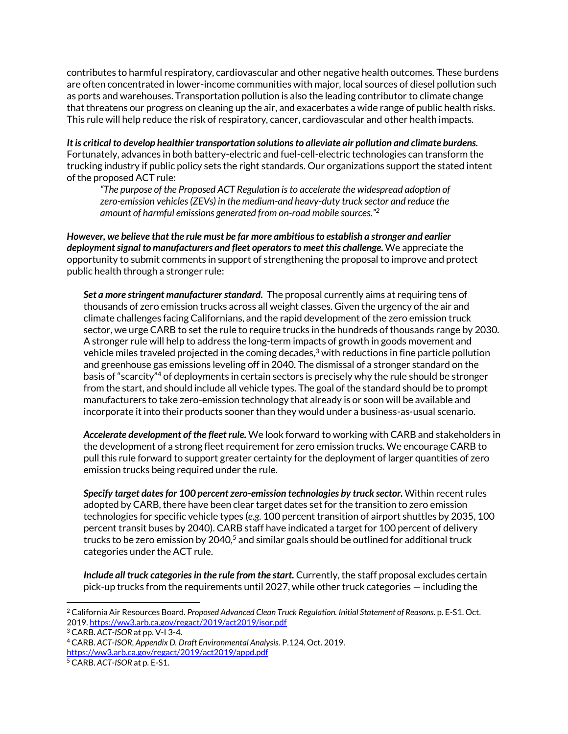contributes to harmful respiratory, cardiovascular and other negative health outcomes. These burdens are often concentrated in lower-income communities with major, local sources of diesel pollution such as ports and warehouses. Transportation pollution is also the leading contributor to climate change that threatens our progress on cleaning up the air, and exacerbates a wide range of public health risks. This rule will help reduce the risk of respiratory, cancer, cardiovascular and other health impacts.

*It is critical to develop healthier transportation solutions to alleviate air pollution and climate burdens.* Fortunately, advances in both battery-electric and fuel-cell-electric technologies can transform the trucking industry if public policy sets the right standards. Our organizations support the stated intent of the proposed ACT rule:

*"The purpose of the Proposed ACT Regulation is to accelerate the widespread adoption of zero-emission vehicles (ZEVs) in the medium-and heavy-duty truck sector and reduce the amount of harmful emissions generated from on-road mobile sources." 2*

*However, we believe that the rule must be far more ambitious to establish a stronger and earlier deployment signal to manufacturers and fleet operatorsto meet this challenge.* We appreciate the opportunity to submit comments in support of strengthening the proposal to improve and protect public health through a stronger rule:

*Set a more stringent manufacturer standard.* The proposal currently aims at requiring tens of thousands of zero emission trucks across all weight classes. Given the urgency of the air and climate challenges facing Californians, and the rapid development of the zero emission truck sector, we urge CARB to set the rule to require trucks in the hundreds of thousands range by 2030. A stronger rule will help to address the long-term impacts of growth in goods movement and vehicle miles traveled projected in the coming decades, $^3$  with reductions in fine particle pollution and greenhouse gas emissions leveling off in 2040. The dismissal of a stronger standard on the basis of "scarcity"<sup>4</sup> of deployments in certain sectors is precisely why the rule should be stronger from the start, and should include all vehicle types. The goal of the standard should be to prompt manufacturers to take zero-emission technology that already is or soon will be available and incorporate it into their products sooner than they would under a business-as-usual scenario.

*Accelerate development of the fleet rule.* We look forward to working with CARB and stakeholders in the development of a strong fleet requirement for zero emission trucks. We encourage CARB to pull this rule forward to support greater certainty for the deployment of larger quantities of zero emission trucks being required under the rule.

*Specify target dates for 100 percent zero-emission technologies by truck sector.* Within recent rules adopted by CARB, there have been clear target dates set for the transition to zero emission technologies for specific vehicle types (*e.g.* 100 percent transition of airport shuttles by 2035, 100 percent transit buses by 2040). CARB staff have indicated a target for 100 percent of delivery trucks to be zero emission by  $2040<sup>5</sup>$  and similar goals should be outlined for additional truck categories under the ACT rule.

*Include all truck categories in the rule from the start.* Currently, the staff proposal excludes certain pick-up trucks from the requirements until 2027, while other truck categories — including the

 $\overline{\phantom{a}}$ 

<sup>2</sup> California Air Resources Board. *Proposed Advanced Clean Truck Regulation. Initial Statement of Reasons*. p. E-S1. Oct. 2019[. https://ww3.arb.ca.gov/regact/2019/act2019/isor.pdf](https://ww3.arb.ca.gov/regact/2019/act2019/isor.pdf)

<sup>3</sup> CARB. *ACT-ISOR* at pp. V-I 3-4.

<sup>4</sup> CARB. *ACT-ISOR, Appendix D. Draft Environmental Analysis.* P.124. Oct. 2019. <https://ww3.arb.ca.gov/regact/2019/act2019/appd.pdf>

<sup>5</sup> CARB. *ACT-ISOR* at p. E-S1.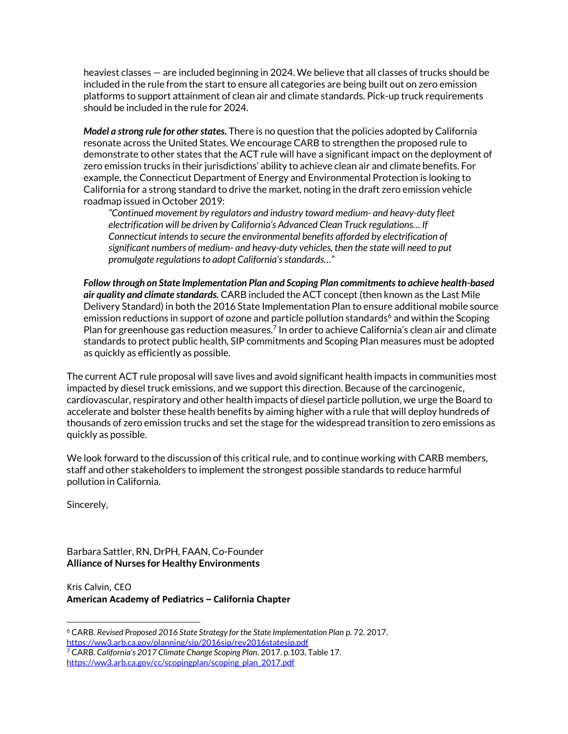heaviest classes — are included beginning in 2024. We believe that all classes of trucks should be included in the rule from the start to ensure all categories are being built out on zero emission platforms to support attainment of clean air and climate standards. Pick-up truck requirements should be included in the rule for 2024.

*Model a strong rule for other states.* There is no question that the policies adopted by California resonate across the United States. We encourage CARB to strengthen the proposed rule to demonstrate to other states that the ACT rule will have a significant impact on the deployment of zero emission trucks in their jurisdictions' ability to achieve clean air and climate benefits. For example, the Connecticut Department of Energy and Environmental Protection is looking to California for a strong standard to drive the market, noting in the draft zero emission vehicle roadmap issued in October 2019:

*"Continued movement by regulators and industry toward medium- and heavy-duty fleet electrification will be driven by California's Advanced Clean Truck regulations… If Connecticut intends to secure the environmental benefits afforded by electrification of significant numbers of medium- and heavy-duty vehicles, then the state will need to put promulgate regulations to adopt California's standards…"*

*Follow through on State Implementation Plan and Scoping Plan commitments to achieve health-based air quality and climate standards.* CARB included the ACT concept (then known as the Last Mile Delivery Standard) in both the 2016 State Implementation Plan to ensure additional mobile source emission reductions in support of ozone and particle pollution standards<sup>6</sup> and within the Scoping Plan for greenhouse gas reduction measures.<sup>7</sup> In order to achieve California's clean air and climate standards to protect public health, SIP commitments and Scoping Plan measures must be adopted as quickly as efficiently as possible.

The current ACT rule proposal will save lives and avoid significant health impacts in communities most impacted by diesel truck emissions, and we support this direction. Because of the carcinogenic, cardiovascular, respiratory and other health impacts of diesel particle pollution, we urge the Board to accelerate and bolster these health benefits by aiming higher with a rule that will deploy hundreds of thousands of zero emission trucks and set the stage for the widespread transition to zero emissions as quickly as possible.

We look forward to the discussion of this critical rule, and to continue working with CARB members, staff and other stakeholders to implement the strongest possible standards to reduce harmful pollution in California.

Sincerely,

Barbara Sattler, RN, DrPH, FAAN, Co-Founder **Alliance of Nurses for Healthy Environments**

Kris Calvin, CEO **American Academy of Pediatrics – California Chapter**

l <sup>6</sup> CARB. *Revised Proposed 2016 State Strategy for the State Implementation Plan* p. 72. 2017. <https://ww3.arb.ca.gov/planning/sip/2016sip/rev2016statesip.pdf>

<sup>7</sup> CARB. *California's 2017 Climate Change Scoping Plan*. 2017. p.103, Table 17. [https://ww3.arb.ca.gov/cc/scopingplan/scoping\\_plan\\_2017.pdf](https://ww3.arb.ca.gov/cc/scopingplan/scoping_plan_2017.pdf)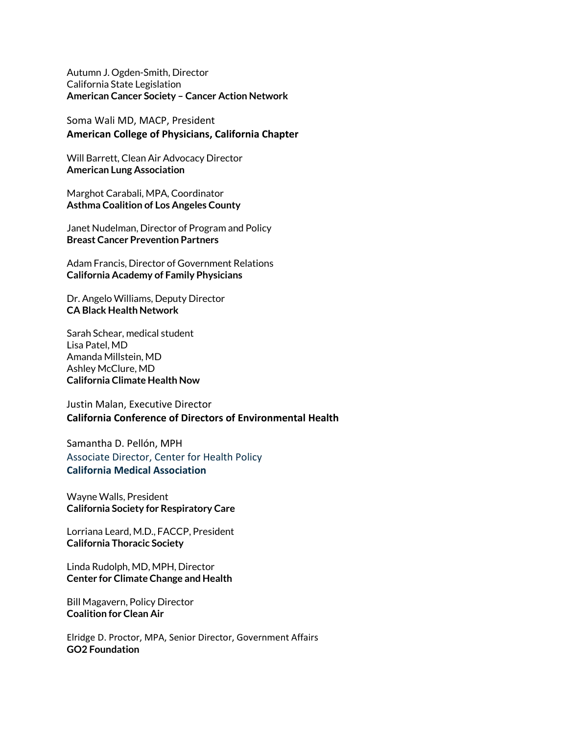[Autumn J. Ogden-Smith,](mailto:Autumn.Ogden@CANCER.ORG) Director California State Legislation **American Cancer Society – Cancer Action Network**

Soma Wali MD, MACP, President **American College of Physicians, California Chapter**

Will Barrett, Clean Air Advocacy Director **American Lung Association**

Marghot Carabali, MPA, Coordinator **Asthma Coalition of Los Angeles County**

Janet Nudelman, Director of Program and Policy **Breast Cancer Prevention Partners**

Adam Francis, Director of Government Relations **California Academy of Family Physicians**

Dr. Angelo Williams, Deputy Director **CA Black Health Network**

Sarah Schear, medical student Lisa Patel, MD Amanda Millstein, MD Ashley McClure, MD **California Climate Health Now**

Justin Malan, Executive Director **California Conference of Directors of Environmental Health**

Samantha D. Pellón, MPH Associate Director, Center for Health Policy **California Medical Association**

Wayne Walls, President **California Society for Respiratory Care**

Lorriana Leard, M.D., FACCP, President **California Thoracic Society**

Linda Rudolph, MD, MPH, Director **Center for Climate Change and Health**

Bill Magavern, Policy Director **Coalition for Clean Air**

Elridge D. Proctor, MPA, Senior Director, Government Affairs **GO2 Foundation**